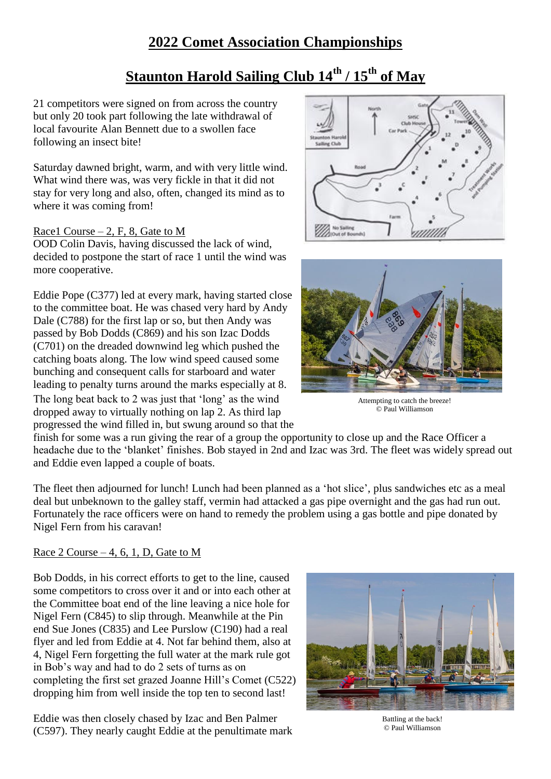# **2022 Comet Association Championships**

# **Staunton Harold Sailing Club 14th / 15th of May**

21 competitors were signed on from across the country but only 20 took part following the late withdrawal of local favourite Alan Bennett due to a swollen face following an insect bite!

Saturday dawned bright, warm, and with very little wind. What wind there was, was very fickle in that it did not stay for very long and also, often, changed its mind as to where it was coming from!

#### Race1 Course  $-2$ , F, 8, Gate to M

OOD Colin Davis, having discussed the lack of wind, decided to postpone the start of race 1 until the wind was more cooperative.

Eddie Pope (C377) led at every mark, having started close to the committee boat. He was chased very hard by Andy Dale (C788) for the first lap or so, but then Andy was passed by Bob Dodds (C869) and his son Izac Dodds (C701) on the dreaded downwind leg which pushed the catching boats along. The low wind speed caused some bunching and consequent calls for starboard and water leading to penalty turns around the marks especially at 8. The long beat back to 2 was just that 'long' as the wind dropped away to virtually nothing on lap 2. As third lap

progressed the wind filled in, but swung around so that the





Attempting to catch the breeze! © Paul Williamson © Paul Williamson Attempting to catch the breeze!

finish for some was a run giving the rear of a group the opportunity to close up and the Race Officer a headache due to the 'blanket' finishes. Bob stayed in 2nd and Izac was 3rd. The fleet was widely spread out and Eddie even lapped a couple of boats.

The fleet then adjourned for lunch! Lunch had been planned as a 'hot slice', plus sandwiches etc as a meal deal but unbeknown to the galley staff, vermin had attacked a gas pipe overnight and the gas had run out. Fortunately the race officers were on hand to remedy the problem using a gas bottle and pipe donated by Nigel Fern from his caravan!

#### Race  $2$  Course  $-4$ , 6, 1, D, Gate to M

Bob Dodds, in his correct efforts to get to the line, caused some competitors to cross over it and or into each other at the Committee boat end of the line leaving a nice hole for Nigel Fern (C845) to slip through. Meanwhile at the Pin end Sue Jones (C835) and Lee Purslow (C190) had a real flyer and led from Eddie at 4. Not far behind them, also at 4, Nigel Fern forgetting the full water at the mark rule got in Bob's way and had to do 2 sets of turns as on completing the first set grazed Joanne Hill's Comet (C522) dropping him from well inside the top ten to second last!

Eddie was then closely chased by Izac and Ben Palmer (C597). They nearly caught Eddie at the penultimate mark



Battling at the back! © Paul Williamson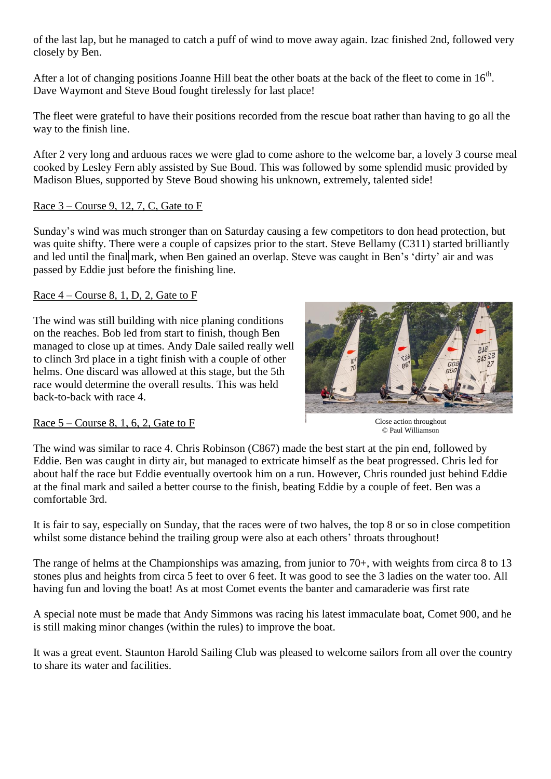of the last lap, but he managed to catch a puff of wind to move away again. Izac finished 2nd, followed very closely by Ben.

After a lot of changing positions Joanne Hill beat the other boats at the back of the fleet to come in  $16<sup>th</sup>$ . Dave Waymont and Steve Boud fought tirelessly for last place!

The fleet were grateful to have their positions recorded from the rescue boat rather than having to go all the way to the finish line.

After 2 very long and arduous races we were glad to come ashore to the welcome bar, a lovely 3 course meal cooked by Lesley Fern ably assisted by Sue Boud. This was followed by some splendid music provided by Madison Blues, supported by Steve Boud showing his unknown, extremely, talented side!

#### Race 3 – Course 9, 12, 7, C, Gate to F

Sunday's wind was much stronger than on Saturday causing a few competitors to don head protection, but was quite shifty. There were a couple of capsizes prior to the start. Steve Bellamy (C311) started brilliantly and led until the final mark, when Ben gained an overlap. Steve was caught in Ben's 'dirty' air and was passed by Eddie just before the finishing line.

## Race  $4$  – Course 8, 1, D, 2, Gate to F

The wind was still building with nice planing conditions on the reaches. Bob led from start to finish, though Ben managed to close up at times. Andy Dale sailed really well to clinch 3rd place in a tight finish with a couple of other helms. One discard was allowed at this stage, but the 5th race would determine the overall results. This was held back-to-back with race 4.



## Race  $5$  – Course 8, 1, 6, 2, Gate to F

Close action throughout © Paul Williamson

The wind was similar to race 4. Chris Robinson (C867) made the best start at the pin end, followed by Eddie. Ben was caught in dirty air, but managed to extricate himself as the beat progressed. Chris led for about half the race but Eddie eventually overtook him on a run. However, Chris rounded just behind Eddie at the final mark and sailed a better course to the finish, beating Eddie by a couple of feet. Ben was a comfortable 3rd.

It is fair to say, especially on Sunday, that the races were of two halves, the top 8 or so in close competition whilst some distance behind the trailing group were also at each others' throats throughout!

The range of helms at the Championships was amazing, from junior to 70+, with weights from circa 8 to 13 stones plus and heights from circa 5 feet to over 6 feet. It was good to see the 3 ladies on the water too. All having fun and loving the boat! As at most Comet events the banter and camaraderie was first rate

A special note must be made that Andy Simmons was racing his latest immaculate boat, Comet 900, and he is still making minor changes (within the rules) to improve the boat.

It was a great event. Staunton Harold Sailing Club was pleased to welcome sailors from all over the country to share its water and facilities.